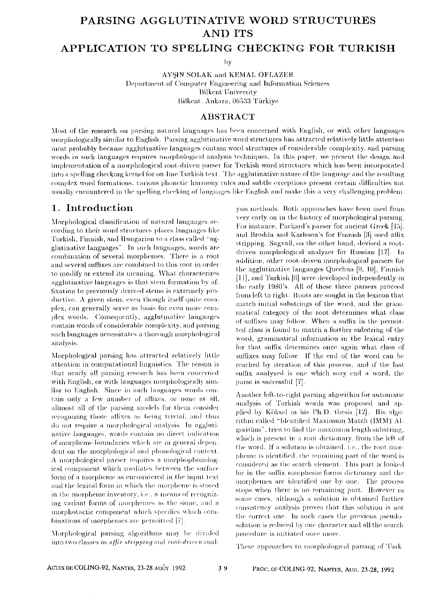# PARSING AGGLUTINATIVE WORD STRUCTURES **AND ITS**

### APPLICATION TO SPELLING CHECKING FOR TURKISH

 $hv$ 

AYSIN SOLAK and KEMAL OFLAZER Department of Computer Engineering and Information Sciences **Bilkent University** Bilkent, Ankara, 06533 Türkive

#### **ABSTRACT**

Most of the research on parsing natural languages has been concerned with English, or with other languages morphologically similar to English. Parsing agglutinative word structures has attracted relatively little attention most probably because agglutinative languages contain word structures of considerable complexity, and parsing words in such languages requires morphological analysis techniques. In this paper, we present the design and implementation of a morphological root-driven parser for Turkish word structures which has been incorporated into a spelling checking kernel for on-line Turkish text. The agglutinative nature of the language and the resulting complex word formations, various phonetic harmony rules and subtle exceptions present certain difficulties not usually encountered in the spelling checking of languages like English and make this a very challenging problem.

# 1. Introduction

Morphological classification of natural languages according to their word structures places languages like Turkish, Finnish, and Hungarian to a class called "agglutinative languages". In such languages, words are combination of several morphemes. There is a root and several suffixes are combined to this root in order to modify or extend its meaning. What characterizes agglutinative languages is that stem formation by affixation to previously derived stems is extremely productive. A given stem, even though itself quite complex, can generally serve as basis for even more complex words. Consequently, agglutinative languages contain words of considerable complexity, and parsing such languages necessitates a thorough morphological analysis.

Morphological parsing has attracted relatively little attention in computational linguistics. The reason is that nearly all parsing research has been concerned with English, or with languages morphologically similar to English. Since in such languages words contain only a few number of affixes, or none at all. allmost all of the parsing models for them consider recognizing those affixes as being trivial, and thus do not require a morphological analysis. In agglutinative languages, words contain no direct indication of morpheme boundaries which are in general dependent on the morphological and phonological context. A morphological parser requires a morphophonological component which mediates between the surface form of a morpheme as encountered in the input text and the lexical form in which the morpheme is stored in the morpheme inventory, i.e., a means of recognizing variant forms of morphemes as the same, and a morphotactic component which specifies which combinations of morphemes are permitted  $[7]$ .

Morphological parsing algorithms may be divided into two classes as *affir stripping* and *roof-driven* analysis methods. Both approaches have been used from very early on in the history of morphological parsing. For instance, Packard's parser for ancient Greek [15]. and Brodda and Karlsson's for Finnish [3] used affix stripping. Sagvall, on the other hand, devised a rootdriven morphological analyzer for Russian [17]. In addition, other root-driven morphological parsers for the agglutinative languages Quechna [9, 10], Finnish [11], and Turkish [6] were developed independently in the early 1980's. All of these three parsers proceed from left to right. Roots are sought in the lexicon that match initial substrings of the word, and the grammatical category of the root determines what class of suffixes may follow. When a suffix in the permitted class is found to match a further substring of the word, grammatical information in the lexical entry for that suffix determines once again what class of suffixes may follow. If the end of the word can be reached by iteration of this process, and if the last suffix analyzed is one which may end a word, the parse is successful [7].

Another left-to-right parsing algorithm for automatic analysis of Turkish words was proposed and applied by Köksal in his Ph.D. thesis [12]. His algorithm called "Identified Maximum Match (IMM) Algorithm", tries to find the maximum length substring, which is present in a root dictionary, from the left of the word. If a solution is obtained, i.e., the root morpheme is identified, the remaining part of the word is considered as the search element. This part is looked for in the suffix morpheme forms dictionary and the morphemes are identified one by one. The process stops when there is no remaining part. However in some cases, although a solution is obtained further consistency analysis proves that this solution is not the correct one. In such cases the previous pseudosolution is reduced by one character and all the search procedure is initiated once more.

These approaches to morphological parsing of Turk-

ACTES DE COLING-92, NANTES, 23-28 AOÛT 1992

39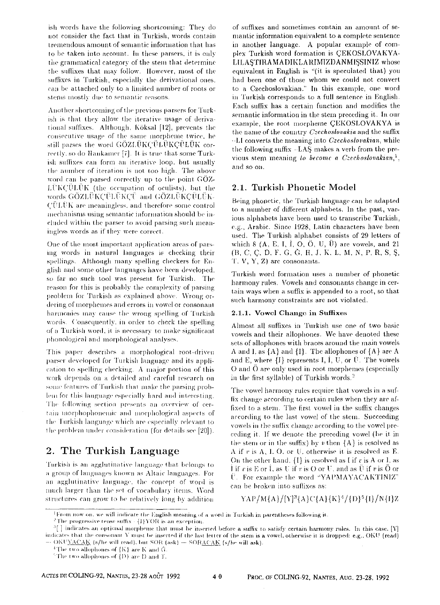ish words have the following shortcoming: They do not consider the fact that in Turkish, words contain tremendous amount of semantic information that has to be taken into account. In these parsers, it is only the grammatical category of the stem that determine the suffixes that may follow. However, most of the suffixes in Turkish, especially the derivational ones, can be attached only to a limited number of roots or stems mostly due to semantic reasons.

Another shortcoming of the previous parsers for Turkish is that they allow the iterative usage of derivational suffixes. Although, Köksal [12], prevents the consecutive usage of the same morpheme twice, he still parses the word GOZLUKCULUKCULUK correctly, so do Hankamer [7]. It is true that some Turkish suffixes can form an iterative loop, but usually the number of iteration is not too high. The above word can be parsed correctly up to the point GOZ-LÜKCULUK (the occupation of oculists), but the words GÖZLÜKÇÜLÜKÇÜ and GÖZLÜKÇÜLÜK-CULUK are meaningless, and therefore some control mechanisms using semantic information should be included within the parser to avoid parsing such meaningless words as if they were correct.

One of the most important application areas of parsing words in natural languages is checking their spellings. Although many spelling checkers for English and some other languages have been developed. so far no such tool was present for Turkish. The reason for this is probably the complexity of parsing problem for Turkish as explained above. Wrong ordering of morphemes and errors in vowel or consonant harmonies may cause the wrong spelling of Turkish words. Consequently, in order to check the spelling of a Turkish word, it is necessary to make significant phonological and morphological analyses.

This paper describes a morphological root-driven parser developed for Turkish language and its application to spelling checking. A major portion of this work depends on a detailed and careful research on some features of Turkish that make the parsing problem for this language especially hard and interesting. The following section presents an overview of certain morphophonemic and morphological aspects of the Turkish language which are especially relevant to the problem under consideration (for details see [20]).

# 2. The Turkish Language

Turkish is an agglutinative language that belongs to a group of languages known as Altaic languages. For an agglutinative language, the concept of word is much larger than the set of vocabulary items. Word structures can grow to be relatively long by addition of suffixes and sometimes contain an amount of semantic information equivalent to a complete sentence in another language. A popular example of complex Turkish word formation is CEKOSLOVAKYA-LILASTIRAMADIKLARIMIZDANMISSINIZ whose equivalent in English is "(it is speculated that) you had been one of those whom we could not convert to a Czechoslovakian." In this example, one word in Turkish corresponds to a full sentence in English. Each suffix has a certain function and modifies the semantic information in the stem preceding it. In our example, the root morpheme CEKOSLOVAKYA is the name of the country Czechoslovakia and the suffix . LI converts the meaning into Czechoslovakian, while the following suffix -LAS makes a verb from the previous stem meaning to become a Czechoslovakian,<sup>1</sup>. and so on.

### 2.1. Turkish Phonetic Model

Being phonetic, the Turkish language can be adapted to a number of different alphabets. In the past, various alphabets have been used to transcribe Turkish, e.g., Arabic. Since 1928, Latin characters have been used. The Turkish alphabet consists of 29 letters of which  $\delta$  (A, E, I, I, O, Ö, U, Ü) are vowels, and 21 (B, C, C, D, F, G, G, H, J, K, L, M, N, P, R, S, Ş, T, V, Y, Z) are consonants.

Turkish word formation uses a number of phonetic harmony rules. Vowels and consonants change in certain ways when a suffix is appended to a root, so that such harmony constraints are not violated.

#### 2.1.1. Vowel Change in Suffixes

Almost all suffixes in Turkish use one of two basic vowels and their allophones. We have denoted these sets of allophones with braces around the main vowels A and I. as  $\{A\}$  and  $\{I\}$ . The allophones of  $\{A\}$  are A and E, where  $\{I\}$  represents I, I, U, or U. The vowels O and O are only used in root morphemes (especially in the first syllable) of Turkish words.<sup>2</sup>

The vowel harmony rules require that vowels in a suffix change according to certain rules when they are affixed to a stem. The first vowel in the suffix changes according to the last vowel of the stem. Succeeding vowels in the suffix change according to the vowel preceding it. If we denote the preceding vowel (be it in the stem or in the suffix) by  $v$  then  ${A}$  is resolved as  $\Lambda$  if  $v$  is  $\Lambda$ , I. O. or U. otherwise it is resolved as E. On the other hand,  $\{I\}$  is resolved as I if r is A or I, as l if  $v$  is E or I, as U if  $v$  is O or U, and as Ü if  $v$  is Ö or U. For example the word "YAPMAYACAKTINIZ" can be broken into suffixes as:

### YAP/M{A}/[Y]<sup>3</sup>{A}C{A}{K}<sup>4</sup>/{D}<sup>5</sup>{I}/N{I}Z

From now on, we will indicate the English meaning of a word in Turkish in parentheses following it.

<sup>&</sup>lt;sup>2</sup>The progressive tense suffix  $\cdot$  {I}YOR is an exception.

 $^{3}$  ] indicates an optional morpheme that must be inserted before a suffix to satisfy certain harmony rules. In this case, [Y] indicates that the consonant Y must be inserted if the last letter of the stem is a vowel, otherwise it is dropped: e.g., OKU (read) OKU<u>YACAK</u> (s/he will read), but SOR (ask) - SORACAK (s/he will ask).

<sup>&</sup>lt;sup>4</sup>The two allophones of  $\{K\}$  are K and  $\tilde{G}$ 

<sup>&</sup>quot;The two allophones of  $\{D\}$  are D and T.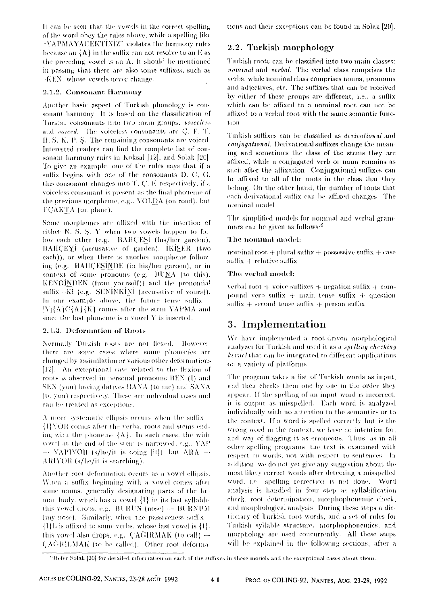It can be seen that the vowels in the correct spelling of the word obey the rules above, while a spelling like "YAPMAYACEKTINIZ" violates the harmony rules because an  ${A}$  in the suffix can not resolve to an E as the preceding vowel is an A. It should be mentioned in passing that there are also some suffixes, such as -KEN, whose yowels never change.

#### 2.1.2, Consonant Harmony

Another basic aspect of Turkish phonology is consonant harmony. It is based on the classification of Turkish consonants into two main groups, voiceless and *voiced*. The voiceless consonants are C, F, T, H, S. K, P, S. The remaining consonants are voiced. Interested readers can find the complete list of consonant harmony rules in Koksal [12], and Solak [20]. To give an example, one of the rules says that if a suffix begins with one of the consonants D. C. G. this consonant changes into T. C. K respectively, if a voiceless consonant is present as the final phoneme of the previous morpheme, e.g., YOLDA (on road), but **FCAKTA** (on plane).

Some morphemes are affixed with the insertion of either N. S. S. Y when two vowels happen to follow each other (e.g. BAHCESI (his/her garden), BAHCEYI (accusative of garden). IKISER (two each)), or when there is another morpheme following (e.g. BAHCESINDE (in his/her garden), or in context of some pronouns (e.g., BUNA (to this), KENDINDEN (from yourself)) and the pronomial suffix - KI (e.g. SENINKINI (accusative of yours)). In our example above, the future tense suffix  $[Y]\{A\}C\{A\}\{K\}$  comes after the stem YAPMA and since the last phoneme is a vowel Y is inserted.

#### 2.1.3. Deformation of Roots

Normally Turkish roots are not flexed. However, there are some cases where some phonenies are changed by assimilation or various other deformations [12]. An exceptional case related to the flexion of roots is observed in personal pronouns BEN (I) and SEN (you) having datives BANA (to me) and SANA (to you) respectively. These are individual cases and can be treated as exceptions.

A more systematic ellipsis occurs when the suffix -{I}YOR comes after the verbal roots and stems ending with the phoneme  ${A}$ . In such cases, the wide yowel at the end of the stem is narrowed, e.g., YAP  $-$  YAPIYOR (s/he/it is doing [it]), but ARA  $-$ ARIYOR (s/he/it is searching).

Another root deformation occurs as a vowel ellipsis. When a suffix beginning with a vowel comes after some nouns, generally designating parts of the human body, which has a yowel  $\{1\}$  in its last syllable, this vowel drops, e.g. BURUN (nose) -- BURNUM (my nose). Similarly, when the passiveness suffix  $\{1\}$ L is affixed to some verbs, whose last vowel is  $\{1\}$ . this vowel also drops, e.g.  $CAGRRMAX$  (to call)  $-$ CAGRILMAK (to be called). Other root deformations and their exceptions can be found in Solak [20].

### 2.2. Turkish morphology

Turkish roots can be classified into two main classes: nominal and verbal. The verbal class comprises the verbs, while nominal class comprises nouns, pronouns and adjectives, etc. The suffixes that can be received by either of these groups are different, i.e., a suffix which can be affixed to a nominal root can not be affixed to a verbal root with the same semantic function.

Turkish suffixes can be classified as *derivational* and conjugational. Derivational suffixes change the meaning and sometimes the class of the stems they are affixed, while a conjugated verb or noun remains as such after the affixation. Conjugational suffixes can be affixed to all of the roots in the class that they belong. On the other hand, the number of roots that each derivational suffix can be affixed changes. The nominal model

The simplified models for nominal and verbal grammars can be given as follows:<sup>6</sup>

#### The nominal model:

nominal root  $+$  plural suffix  $+$  possessive suffix  $+$  case  $suffix + relative suffix$ 

#### The verbal model:

verbal root + voice suffixes + negation suffix + compound verb suffix  $+$  main tense suffix  $+$  question suffix  $+$  second tense suffix  $+$  person suffix

# 3. Implementation

We have implemented a root-driven morphological analyzer for Turkish and used it as a spelling checking kernel that can be integrated to different applications on a variety of platforms.

The program takes a list of Turkish words as input, and then checks them one by one in the order they appear. If the spelling of an input word is incorrect, it is output as misspelled. Each word is analyzed individually with no attention to the semantics or to the context. If a word is spelled correctly but is the wrong word in the context, we have no intention for, and way of flagging it as erroneous. Thus, as in all other spelling programs, the text is examined with respect to words, not with respect to sentences. In addition, we do not yet give any suggestion about the most likely correct words after detecting a misspelled word, i.e., spelling correction is not done. Word analysis is handled in four step as syllabification check, root determination, morphophonemic check, and morphological analysis. During these steps a dictionary of Turkish root words, and a set of rules for Turkish syllable structure, morphophonemics, and morphology are used concurrently. All these steps will be explained in the following sections, after a

<sup>&</sup>lt;sup>6</sup>Refer Solak [20] for detailed information on each of the suffixes in these models and the exceptional cases about them.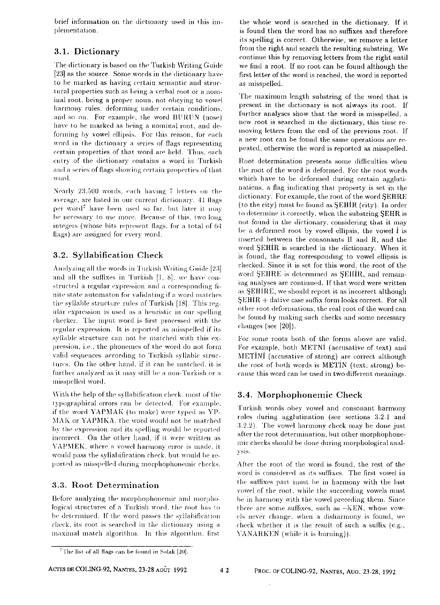brief information on the dictionary used in this implementation.

# 3.1. Dictionary

The dictionary is based on the Turkish Writing Guide [23] as the source. Some words in the dictionary have to be marked as having certain semantic and structural properties such as being a verbal root or a nominal root, being a proper noun, not obeying to vowel harmony rules, deforming under certain conditions. and so on. For example, the word BURUN (nose) have to be marked as being a nominal root, and deforming by vowel ellipsis. For this reason, for each word in the dictionary a series of flags representing certain properties of that word are held. Thus, each entry of the dictionary contains a word in Turkish and a series of flags showing certain properties of that word.

Nearly 23,500 words, each having 7 letters on the average, are listed in our current dictionary. 41 flags per word<sup>7</sup> have been used so far, but later it may be necessary to use more. Because of this, two long integers (whose bits represent flags, for a total of 64 flags) are assigned for every word.

# 3.2. Syllabification Check

Analyzing all the words in Turkish Writing Guide [23] and all the suffixes in Turkish [1, 8], we have constructed a regular expression and a corresponding finite state automaton for validating if a word matches the syllable structure rules of Turkish [18]. This regular expression is used as a heuristic in our spelling checker. The input word is first processed with the regular expression. It is reported as misspelled if its syllable structure can not be matched with this expression, i.e., the phonemes of the word do not form valid sequences according to Turkish syllable structures. On the other hand, if it can be matched, it is further analyzed as it may still be a non-Turkish or a misspelled word.

With the help of the syllabification check, most of the typographical errors can be detected. For example, if the word YAPMAK (to make) were typed as YP-MAK or YAPMKA, the word would not be matched by the expression and its spelling would be reported incorrect. On the other hand, if it were written as YAPMEK, where a vowel harmony error is made, it would pass the syllabification check, but would be reported as misspelled during morphophonemic checks.

# 3.3. Root Determination

Before analyzing the morphophonemic and morphological structures of a Turkish word, the root has to be determined. If the word passes the syllabification check, its root is searched in the dictionary using a maximal match algorithm. In this algorithm, first the whole word is searched in the dictionary. If it is found then the word has no suffixes and therefore its spelling is correct. Otherwise, we remove a letter from the right and search the resulting substring. We continue this by removing letters from the right until we find a root. If no root can be found although the first letter of the word is reached, the word is reported as misspelled.

The maximum length substring of the word that is present in the dictionary is not always its root. If further analyses show that the word is misspelled, a new root is searched in the dictionary, this time removing letters from the end of the previous root. If a new root can be found the same operations are repeated, otherwise the word is reported as misspelled.

Root determination presents some difficulties when the root of the word is deformed. For the root words which have to be deformed during certain agglutinations, a flag indicating that property is set in the dictionary. For example, the root of the word SEHRE (to the city) must be found as SEHIR (city). In order to determine it correctly, when the substring SEHR is not found in the dictionary, considering that it may be a deformed root by vowel ellipsis, the vowel I is inserted between the consonants H and R, and the word SEHIR is searched in the dictionary. When it is found, the flag corresponding to vowel ellipsis is checked. Since it is set for this word, the root of the word SEHRE is determined as SEHIR, and remaining analyses are continued. If that word were written as SEHIRE, we should report it as incorrect although  $SEHIR +$  dative case suffix form looks correct. For all other root deformations, the real root of the word can be found by making such checks and some necessary changes (see [20]).

For some roots both of the forms above are valid. For example, both METNI (accusative of text) and METINI (accusative of strong) are correct although the root of both words is METIN (text, strong) because this word can be used in two different meanings.

### 3.4. Morphophonemic Check

Turkish words obey vowel and consonant harmony rules during agglutination (see sections 3.2.1 and 3.2.2). The vowel harmony check may be done just after the root determination, but other morphophonemic checks should be done during morphological analvsis.

After the root of the word is found, the rest of the word is considered as its suffixes. The first vowel in the suffixes part must be in harmony with the last vowel of the root, while the succeeding vowels must be in harmony with the vowel preceding them. Since there are some suffixes, such as -KEN, whose vowels never change, when a disharmony is found, we check whether it is the result of such a suffix (e.g., YANARKEN (while it is burning)).

 $42$ 

<sup>&</sup>lt;sup>7</sup>The list of all flags can be found in Solak [20].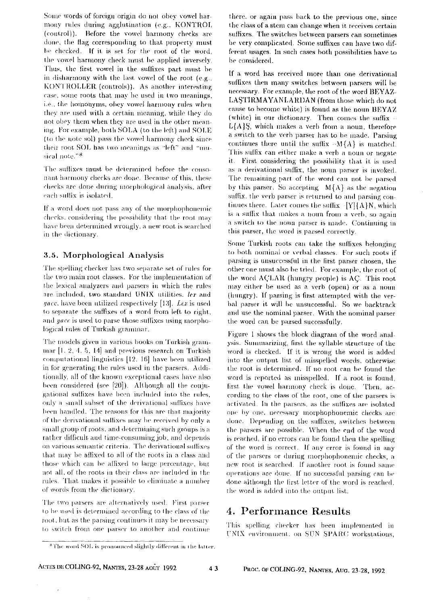Some words of foreign origin do not obey vowel harmony rules during agglutination (e.g., KONTROL (control)). Before the vowel harmony checks are done, the flag corresponding to that property must be checked. If it is set for the root of the word. the vowel harmony check must be applied inversely. Thus, the first vowel in the suffixes part must be in disharmony with the last vowel of the root (e.g., KONTROLLER (controls)). As another interesting case, some roots that may be used in two meanings. i.e., the homonyms, obey vowel harmony rules when they are used with a certain meaning, while they do not obey them when they are used in the other meaning. For example, both SOLA (to the left) and SOLE (to the note sol) pass the vowel harmony check since their root SOL has two meanings as "left" and "musical note."8

The suffixes must be determined before the consonant harmony checks are done. Because of this, these checks are done during morphological analysis, after each suffix is isolated.

If a word does not pass any of the morphophonemic checks, considering the possibility that the root may have been determined wrongly, a new root is searched in the dictionary.

### 3.5. Morphological Analysis

The spelling checker has two separate set of rules for the two main root classes. For the implementation of the lexical analyzers and parsers in which the rules are included, two standard UNIX utilities, lex and yacc, have been utilized respectively [13]. Lex is used to separate the suffixes of a word from left to right, and *yace* is used to parse those suffixes using morphological rules of Turkish grammar.

The models given in various books on Turkish grammar [1, 2, 4, 5, 14] and previous research on Turkish computational linguistics [12, 16] have been utilized in for generating the rules used in the parsers. Additionally, all of the known exceptional cases have also been considered (see [20]). Although all the conjugational suffixes have been included into the rules, only a small subset of the derivational suffixes have been handled. The reasons for this are that majority of the derivational suffixes may be received by only a small group of roots, and determining such groups is a rather difficult and time-consuming job, and depends on various semantic criteria. The derivational suffixes that may be affixed to all of the roots in a class and those which can be affixed to large percentage, but not all, of the roots in their class are included in the rules. That makes it possible to eliminate a number of words from the dictionary.

The two parsers are alternatively used. First parser to be used is determined according to the class of the root, but as the parsing continues it may be necessary to switch from one parser to another and continue there, or again pass back to the previous one, since the class of a stem can change when it receives certain suffixes. The switches between parsers can sometimes be very complicated. Some suffixes can have two different usages. In such cases both possibilities have to be considered.

If a word has received more than one derivational suffixes then many switches between parsers will be necessary. For example, the root of the word BEYAZ-LASTIRMAYANLARDAN (from those which do not cause to become white) is found as the noun BEYAZ (white) in our dictionary. Then comes the suffix - $L\{A\}\$ , which makes a verb from a noun, therefore a switch to the verb parser has to be made. Parsing continues there until the suffix  $-M(A)$  is matched. This suffix can either make a verb a noun or negate it. First considering the possibility that it is used as a derivational suffix, the noun parser is invoked. The remaining part of the word can not be parsed by this parser. So accepting  $-M\{\Lambda\}$  as the negation suffix, the verb parser is returned to and parsing continues there. Later comes the suffix -[Y]{A}N, which is a suffix that makes a noun from a verb, so again a switch to the noun parser is made. Continuing in this parser, the word is parsed correctly.

Some Turkish roots can take the suffixes belonging to both nominal or verbal classes. For such roots if parsing is unsuccessful in the first parser chosen, the other one must also be tried. For example, the root of the word ACLAR (hungry people) is AC. This root may either be used as a verb (open) or as a noun (hungry). If parsing is first attempted with the verbal parser it will be unsuccessful. So we backtrack and use the nominal parser. With the nominal parser the word can be parsed successfully.

Figure 1 shows the block diagram of the word analysis. Summarizing, first the syllable structure of the word is checked. If it is wrong the word is added into the output list of misspelled words, otherwise the root is determined. If no root can be found the word is reported as misspelled. If a root is found. first the vowel harmony check is done. Then, according to the class of the root, one of the parsers is activated. In the parsers, as the suffixes are isolated one by one, necessary morphophonemic checks are done. Depending on the suffixes, switches between the parsers are possible. When the end of the word is reached, if no errors can be found then the spelling of the word is correct. If any error is found in any of the parsers or during morphophonemic checks, a new root is searched. If another root is found same operations are done. If no successful parsing can be done although the first letter of the word is reached. the word is added into the output list.

# 4. Performance Results

This spelling checker has been implemented in UNIX environment, on SUN SPARC workstations,

<sup>&</sup>lt;sup>8</sup>The word SOL is pronounced slightly different in the latter.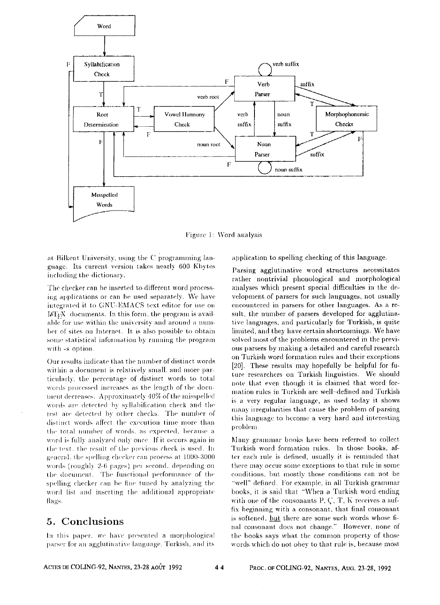

Figure 1: Word analysis

at Bilkent University, using the C programming language. Its current version takes nearly 600 Kbytes including the dictionary.

The checker can be inserted to different word processing applications or can be used separately. We have integrated it to GNU-EMACS text editor for use on IATEX documents. In this form, the program is available for use within the university and around a number of sites on Internet. It is also possible to obtain some statistical information by running the program with -s option.

Our results indicate that the number of distinct words within a document is relatively small, and more particularly, the percentage of distinct words to total words processed increases as the length of the document decreases. Approximately 40% of the misspelled words are detected by syllabification check and the rest are detected by other checks. The number of distinct words affect the execution time more than the total number of words, as expected, because a word is fully analyzed only once. If it occurs again in the text, the result of the previous check is used. In general, the spelling checker can process at 1000-3000 words (roughly 2-6 pages) per second, depending on the document. The functional performance of the spelling checker can be fine tuned by analyzing the word list and inserting the additional appropriate flags.

# 5. Conclusions

In this paper, we have presented a morphological parser for an agglutinative language. Turkish, and its

application to spelling checking of this language.

Parsing agglutinative word structures necessitates rather nontrivial phonological and morphological analyses which present special difficulties in the development of parsers for such languages, not usually encountered in parsers for other languages. As a result, the number of parsers developed for agglutinative languages, and particularly for Turkish, is quite limited, and they have certain shortcomings. We have solved most of the problems encountered in the previous parsers by making a detailed and careful research on Turkish word formation rules and their exceptions [20]. These results may hopefully be helpful for future researchers on Turkish linguistics. We should note that even though it is claimed that word formation rules in Turkish are well-defined and Turkish is a very regular language, as used today it shows many irregularities that cause the problem of parsing this language to become a very hard and interesting problem

Many grammar books have been referred to collect Turkish word formation rules. In those books, after each rule is defined, usually it is reminded that there may occur some exceptions to that rule in some conditions, but mostly those conditions can not be "well" defined. For example, in all Turkish grammar books, it is said that "When a Turkish word ending with one of the consonants  $P, C, T$ , K receives a suffix beginning with a consonant, that final consonant is softened, but there are some such words whose final consonant does not change." However, none of the books says what the common property of those words which do not obey to that rule is, because most